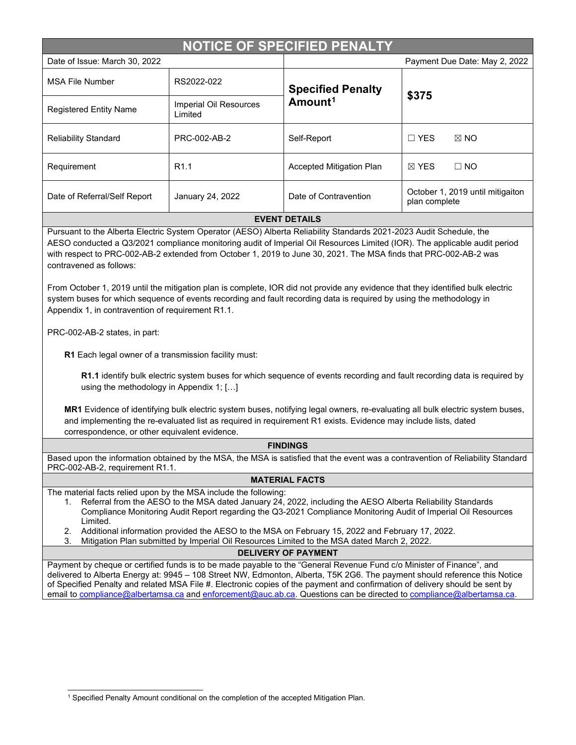| <b>NOTICE OF SPECIFIED PENALTY</b>                                                                                                                                                                                                                                                                                                                                                                                                                                                                                                                                                                                                                                                                                                                                                                                                                                                                                                                          |                                   |                                                 |                                                   |  |  |
|-------------------------------------------------------------------------------------------------------------------------------------------------------------------------------------------------------------------------------------------------------------------------------------------------------------------------------------------------------------------------------------------------------------------------------------------------------------------------------------------------------------------------------------------------------------------------------------------------------------------------------------------------------------------------------------------------------------------------------------------------------------------------------------------------------------------------------------------------------------------------------------------------------------------------------------------------------------|-----------------------------------|-------------------------------------------------|---------------------------------------------------|--|--|
| Date of Issue: March 30, 2022                                                                                                                                                                                                                                                                                                                                                                                                                                                                                                                                                                                                                                                                                                                                                                                                                                                                                                                               |                                   |                                                 | Payment Due Date: May 2, 2022                     |  |  |
| <b>MSA File Number</b>                                                                                                                                                                                                                                                                                                                                                                                                                                                                                                                                                                                                                                                                                                                                                                                                                                                                                                                                      | RS2022-022                        | <b>Specified Penalty</b><br>Amount <sup>1</sup> | \$375                                             |  |  |
| <b>Registered Entity Name</b>                                                                                                                                                                                                                                                                                                                                                                                                                                                                                                                                                                                                                                                                                                                                                                                                                                                                                                                               | Imperial Oil Resources<br>Limited |                                                 |                                                   |  |  |
| <b>Reliability Standard</b>                                                                                                                                                                                                                                                                                                                                                                                                                                                                                                                                                                                                                                                                                                                                                                                                                                                                                                                                 | PRC-002-AB-2                      | Self-Report                                     | $\Box$ YES<br>$\boxtimes$ NO                      |  |  |
| Requirement                                                                                                                                                                                                                                                                                                                                                                                                                                                                                                                                                                                                                                                                                                                                                                                                                                                                                                                                                 | R <sub>1.1</sub>                  | Accepted Mitigation Plan                        | $\boxtimes$ YES<br>$\Box$ NO                      |  |  |
| Date of Referral/Self Report                                                                                                                                                                                                                                                                                                                                                                                                                                                                                                                                                                                                                                                                                                                                                                                                                                                                                                                                | January 24, 2022                  | Date of Contravention                           | October 1, 2019 until mitigaiton<br>plan complete |  |  |
| <b>EVENT DETAILS</b><br>Pursuant to the Alberta Electric System Operator (AESO) Alberta Reliability Standards 2021-2023 Audit Schedule, the<br>AESO conducted a Q3/2021 compliance monitoring audit of Imperial Oil Resources Limited (IOR). The applicable audit period<br>with respect to PRC-002-AB-2 extended from October 1, 2019 to June 30, 2021. The MSA finds that PRC-002-AB-2 was<br>contravened as follows:<br>From October 1, 2019 until the mitigation plan is complete, IOR did not provide any evidence that they identified bulk electric<br>system buses for which sequence of events recording and fault recording data is required by using the methodology in<br>Appendix 1, in contravention of requirement R1.1.<br>PRC-002-AB-2 states, in part:<br>R1 Each legal owner of a transmission facility must:<br>R1.1 identify bulk electric system buses for which sequence of events recording and fault recording data is required by |                                   |                                                 |                                                   |  |  |
| using the methodology in Appendix 1; []<br>MD4 Evidence of identifying bully electric overtom buses, netifying legal evidence re-oveluation oll bully electric overtom buses                                                                                                                                                                                                                                                                                                                                                                                                                                                                                                                                                                                                                                                                                                                                                                                |                                   |                                                 |                                                   |  |  |

**MR1** Evidence of identifying bulk electric system buses, notifying legal owners, re-evaluating all bulk electric system buses, and implementing the re-evaluated list as required in requirement R1 exists. Evidence may include lists, dated correspondence, or other equivalent evidence.

## **FINDINGS**

Based upon the information obtained by the MSA, the MSA is satisfied that the event was a contravention of Reliability Standard PRC-002-AB-2, requirement R1.1.

## **MATERIAL FACTS**

The material facts relied upon by the MSA include the following:

- 1. Referral from the AESO to the MSA dated January 24, 2022, including the AESO Alberta Reliability Standards Compliance Monitoring Audit Report regarding the Q3-2021 Compliance Monitoring Audit of Imperial Oil Resources Limited.
- 2. Additional information provided the AESO to the MSA on February 15, 2022 and February 17, 2022.
- 3. Mitigation Plan submitted by Imperial Oil Resources Limited to the MSA dated March 2, 2022.

## **DELIVERY OF PAYMENT**

Payment by cheque or certified funds is to be made payable to the "General Revenue Fund c/o Minister of Finance", and delivered to Alberta Energy at: 9945 – 108 Street NW, Edmonton, Alberta, T5K 2G6. The payment should reference this Notice of Specified Penalty and related MSA File #. Electronic copies of the payment and confirmation of delivery should be sent by email t[o compliance@albertamsa.ca](mailto:compliance@albertamsa.ca) an[d enforcement@auc.ab.ca.](mailto:enforcement@auc.ab.ca) Questions can be directed to compliance@albertamsa.ca

<span id="page-0-0"></span><sup>&</sup>lt;sup>1</sup> Specified Penalty Amount conditional on the completion of the accepted Mitigation Plan.